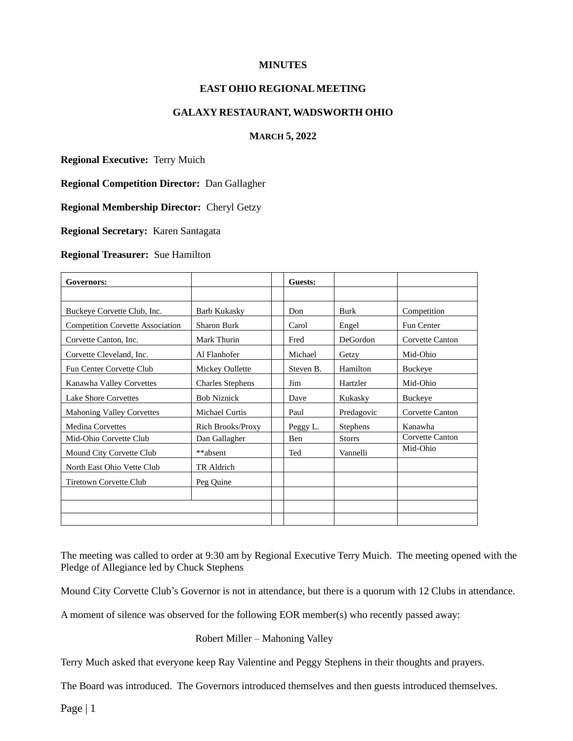#### **MINUTES**

## **EAST OHIO REGIONALMEETING**

#### **GALAXY RESTAURANT, WADSWORTH OHIO**

### **MARCH 5, 2022**

**Regional Executive:** Terry Muich

**Regional Competition Director:** Dan Gallagher

**Regional Membership Director:** Cheryl Getzy

**Regional Secretary:** Karen Santagata

#### **Regional Treasurer:** Sue Hamilton

| Governors:                              |                          | Guests:   |                 |                 |
|-----------------------------------------|--------------------------|-----------|-----------------|-----------------|
|                                         |                          |           |                 |                 |
| Buckeye Corvette Club, Inc.             | <b>Barb Kukasky</b>      | Don       | Burk            | Competition     |
| <b>Competition Corvette Association</b> | <b>Sharon Burk</b>       | Carol     | Engel           | Fun Center      |
| Corvette Canton, Inc.                   | Mark Thurin              | Fred      | <b>DeGordon</b> | Corvette Canton |
| Corvette Cleveland, Inc.                | Al Flanhofer             | Michael   | Getzy           | Mid-Ohio        |
| Fun Center Corvette Club                | Mickey Oullette          | Steven B. | Hamilton        | <b>Buckeye</b>  |
| Kanawha Valley Corvettes                | <b>Charles Stephens</b>  | Jim       | Hartzler        | Mid-Ohio        |
| <b>Lake Shore Corvettes</b>             | <b>Bob Niznick</b>       | Dave      | Kukasky         | Buckeye         |
| <b>Mahoning Valley Corvettes</b>        | Michael Curtis           | Paul      | Predagovic      | Corvette Canton |
| <b>Medina Corvettes</b>                 | <b>Rich Brooks/Proxy</b> | Peggy L.  | <b>Stephens</b> | Kanawha         |
| Mid-Ohio Corvette Club                  | Dan Gallagher            | Ben       | <b>Storrs</b>   | Corvette Canton |
| Mound City Corvette Club                | **absent                 | Ted       | Vannelli        | Mid-Ohio        |
| North East Ohio Vette Club              | TR Aldrich               |           |                 |                 |
| <b>Tiretown Corvette Club</b>           | Peg Quine                |           |                 |                 |
|                                         |                          |           |                 |                 |
|                                         |                          |           |                 |                 |
|                                         |                          |           |                 |                 |

The meeting was called to order at 9:30 am by Regional Executive Terry Muich. The meeting opened with the Pledge of Allegiance led by Chuck Stephens

Mound City Corvette Club's Governor is not in attendance, but there is a quorum with 12 Clubs in attendance.

A moment of silence was observed for the following EOR member(s) who recently passed away:

Robert Miller – Mahoning Valley

Terry Much asked that everyone keep Ray Valentine and Peggy Stephens in their thoughts and prayers.

The Board was introduced. The Governors introduced themselves and then guests introduced themselves.

Page | 1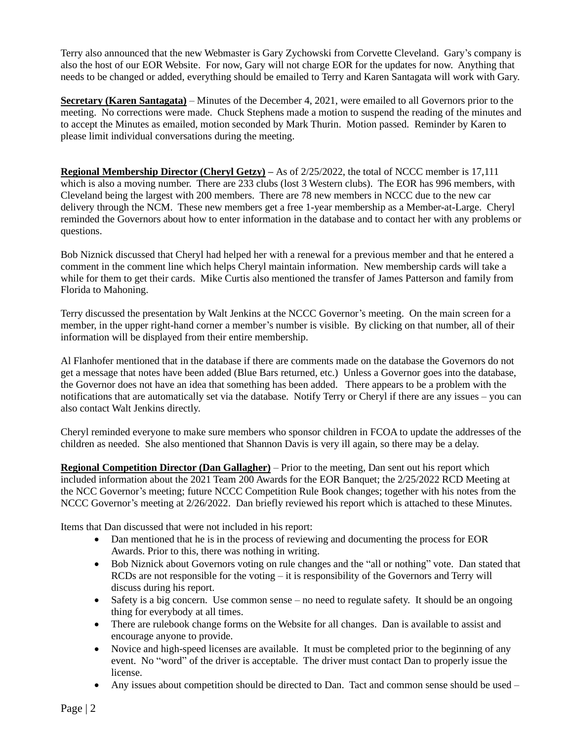Terry also announced that the new Webmaster is Gary Zychowski from Corvette Cleveland. Gary's company is also the host of our EOR Website. For now, Gary will not charge EOR for the updates for now. Anything that needs to be changed or added, everything should be emailed to Terry and Karen Santagata will work with Gary.

**Secretary (Karen Santagata)** – Minutes of the December 4, 2021, were emailed to all Governors prior to the meeting. No corrections were made. Chuck Stephens made a motion to suspend the reading of the minutes and to accept the Minutes as emailed, motion seconded by Mark Thurin. Motion passed. Reminder by Karen to please limit individual conversations during the meeting.

**Regional Membership Director (Cheryl Getzy) –** As of 2/25/2022, the total of NCCC member is 17,111 which is also a moving number. There are 233 clubs (lost 3 Western clubs). The EOR has 996 members, with Cleveland being the largest with 200 members. There are 78 new members in NCCC due to the new car delivery through the NCM. These new members get a free 1-year membership as a Member-at-Large. Cheryl reminded the Governors about how to enter information in the database and to contact her with any problems or questions.

Bob Niznick discussed that Cheryl had helped her with a renewal for a previous member and that he entered a comment in the comment line which helps Cheryl maintain information. New membership cards will take a while for them to get their cards. Mike Curtis also mentioned the transfer of James Patterson and family from Florida to Mahoning.

Terry discussed the presentation by Walt Jenkins at the NCCC Governor's meeting. On the main screen for a member, in the upper right-hand corner a member's number is visible. By clicking on that number, all of their information will be displayed from their entire membership.

Al Flanhofer mentioned that in the database if there are comments made on the database the Governors do not get a message that notes have been added (Blue Bars returned, etc.) Unless a Governor goes into the database, the Governor does not have an idea that something has been added. There appears to be a problem with the notifications that are automatically set via the database. Notify Terry or Cheryl if there are any issues – you can also contact Walt Jenkins directly.

Cheryl reminded everyone to make sure members who sponsor children in FCOA to update the addresses of the children as needed. She also mentioned that Shannon Davis is very ill again, so there may be a delay.

**Regional Competition Director (Dan Gallagher)** – Prior to the meeting, Dan sent out his report which included information about the 2021 Team 200 Awards for the EOR Banquet; the 2/25/2022 RCD Meeting at the NCC Governor's meeting; future NCCC Competition Rule Book changes; together with his notes from the NCCC Governor's meeting at 2/26/2022. Dan briefly reviewed his report which is attached to these Minutes.

Items that Dan discussed that were not included in his report:

- Dan mentioned that he is in the process of reviewing and documenting the process for EOR Awards. Prior to this, there was nothing in writing.
- Bob Niznick about Governors voting on rule changes and the "all or nothing" vote. Dan stated that RCDs are not responsible for the voting – it is responsibility of the Governors and Terry will discuss during his report.
- Safety is a big concern. Use common sense no need to regulate safety. It should be an ongoing thing for everybody at all times.
- There are rulebook change forms on the Website for all changes. Dan is available to assist and encourage anyone to provide.
- Novice and high-speed licenses are available. It must be completed prior to the beginning of any event. No "word" of the driver is acceptable. The driver must contact Dan to properly issue the license.
- Any issues about competition should be directed to Dan. Tact and common sense should be used –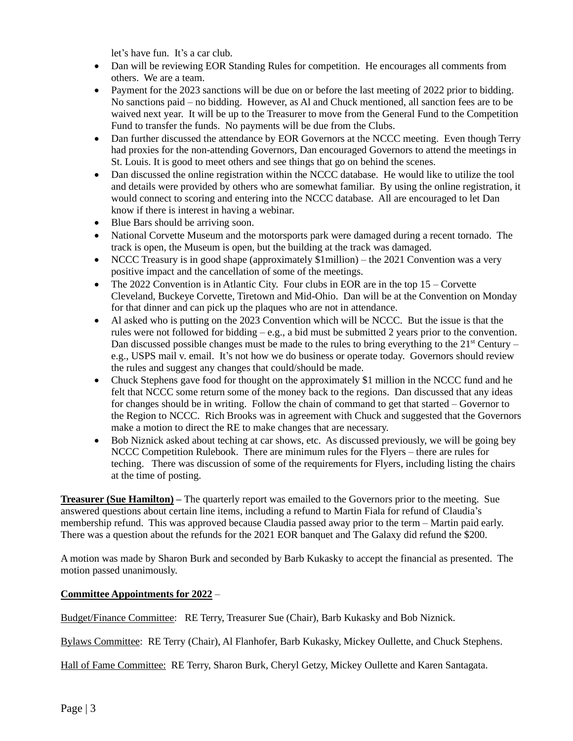let's have fun. It's a car club.

- Dan will be reviewing EOR Standing Rules for competition. He encourages all comments from others. We are a team.
- Payment for the 2023 sanctions will be due on or before the last meeting of 2022 prior to bidding. No sanctions paid – no bidding. However, as Al and Chuck mentioned, all sanction fees are to be waived next year. It will be up to the Treasurer to move from the General Fund to the Competition Fund to transfer the funds. No payments will be due from the Clubs.
- Dan further discussed the attendance by EOR Governors at the NCCC meeting. Even though Terry had proxies for the non-attending Governors, Dan encouraged Governors to attend the meetings in St. Louis. It is good to meet others and see things that go on behind the scenes.
- Dan discussed the online registration within the NCCC database. He would like to utilize the tool and details were provided by others who are somewhat familiar. By using the online registration, it would connect to scoring and entering into the NCCC database. All are encouraged to let Dan know if there is interest in having a webinar.
- Blue Bars should be arriving soon.
- National Corvette Museum and the motorsports park were damaged during a recent tornado. The track is open, the Museum is open, but the building at the track was damaged.
- NCCC Treasury is in good shape (approximately \$1million) the 2021 Convention was a very positive impact and the cancellation of some of the meetings.
- The 2022 Convention is in Atlantic City. Four clubs in EOR are in the top  $15 -$ Corvette Cleveland, Buckeye Corvette, Tiretown and Mid-Ohio. Dan will be at the Convention on Monday for that dinner and can pick up the plaques who are not in attendance.
- Al asked who is putting on the 2023 Convention which will be NCCC. But the issue is that the rules were not followed for bidding  $-e.g.,$  a bid must be submitted 2 years prior to the convention. Dan discussed possible changes must be made to the rules to bring everything to the  $21<sup>st</sup>$  Century – e.g., USPS mail v. email. It's not how we do business or operate today. Governors should review the rules and suggest any changes that could/should be made.
- Chuck Stephens gave food for thought on the approximately \$1 million in the NCCC fund and he felt that NCCC some return some of the money back to the regions. Dan discussed that any ideas for changes should be in writing. Follow the chain of command to get that started – Governor to the Region to NCCC. Rich Brooks was in agreement with Chuck and suggested that the Governors make a motion to direct the RE to make changes that are necessary.
- Bob Niznick asked about teching at car shows, etc. As discussed previously, we will be going bey NCCC Competition Rulebook. There are minimum rules for the Flyers – there are rules for teching. There was discussion of some of the requirements for Flyers, including listing the chairs at the time of posting.

**Treasurer (Sue Hamilton) –** The quarterly report was emailed to the Governors prior to the meeting. Sue answered questions about certain line items, including a refund to Martin Fiala for refund of Claudia's membership refund. This was approved because Claudia passed away prior to the term – Martin paid early. There was a question about the refunds for the 2021 EOR banquet and The Galaxy did refund the \$200.

A motion was made by Sharon Burk and seconded by Barb Kukasky to accept the financial as presented. The motion passed unanimously.

#### **Committee Appointments for 2022** –

Budget/Finance Committee: RE Terry, Treasurer Sue (Chair), Barb Kukasky and Bob Niznick.

Bylaws Committee: RE Terry (Chair), Al Flanhofer, Barb Kukasky, Mickey Oullette, and Chuck Stephens.

Hall of Fame Committee: RE Terry, Sharon Burk, Cheryl Getzy, Mickey Oullette and Karen Santagata.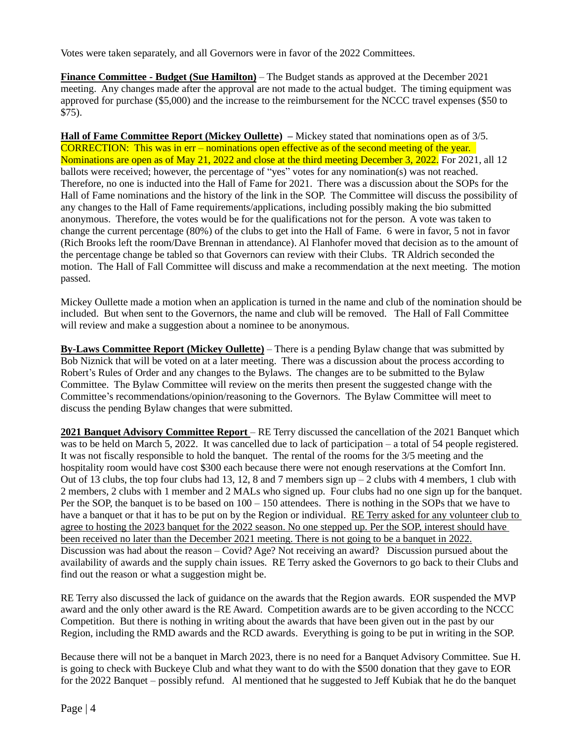Votes were taken separately, and all Governors were in favor of the 2022 Committees.

**Finance Committee - Budget (Sue Hamilton)** – The Budget stands as approved at the December 2021 meeting. Any changes made after the approval are not made to the actual budget. The timing equipment was approved for purchase (\$5,000) and the increase to the reimbursement for the NCCC travel expenses (\$50 to \$75).

**Hall of Fame Committee Report (Mickey Oullette) –** Mickey stated that nominations open as of 3/5. CORRECTION: This was in err – nominations open effective as of the second meeting of the year. Nominations are open as of May 21, 2022 and close at the third meeting December 3, 2022. For 2021, all 12 ballots were received; however, the percentage of "yes" votes for any nomination(s) was not reached. Therefore, no one is inducted into the Hall of Fame for 2021. There was a discussion about the SOPs for the Hall of Fame nominations and the history of the link in the SOP. The Committee will discuss the possibility of any changes to the Hall of Fame requirements/applications, including possibly making the bio submitted anonymous. Therefore, the votes would be for the qualifications not for the person. A vote was taken to change the current percentage (80%) of the clubs to get into the Hall of Fame. 6 were in favor, 5 not in favor (Rich Brooks left the room/Dave Brennan in attendance). Al Flanhofer moved that decision as to the amount of the percentage change be tabled so that Governors can review with their Clubs. TR Aldrich seconded the motion. The Hall of Fall Committee will discuss and make a recommendation at the next meeting. The motion passed.

Mickey Oullette made a motion when an application is turned in the name and club of the nomination should be included. But when sent to the Governors, the name and club will be removed. The Hall of Fall Committee will review and make a suggestion about a nominee to be anonymous.

**By-Laws Committee Report (Mickey Oullette)** – There is a pending Bylaw change that was submitted by Bob Niznick that will be voted on at a later meeting. There was a discussion about the process according to Robert's Rules of Order and any changes to the Bylaws. The changes are to be submitted to the Bylaw Committee. The Bylaw Committee will review on the merits then present the suggested change with the Committee's recommendations/opinion/reasoning to the Governors. The Bylaw Committee will meet to discuss the pending Bylaw changes that were submitted.

**2021 Banquet Advisory Committee Report** – RE Terry discussed the cancellation of the 2021 Banquet which was to be held on March 5, 2022. It was cancelled due to lack of participation – a total of 54 people registered. It was not fiscally responsible to hold the banquet. The rental of the rooms for the 3/5 meeting and the hospitality room would have cost \$300 each because there were not enough reservations at the Comfort Inn. Out of 13 clubs, the top four clubs had 13, 12, 8 and 7 members sign up – 2 clubs with 4 members, 1 club with 2 members, 2 clubs with 1 member and 2 MALs who signed up. Four clubs had no one sign up for the banquet. Per the SOP, the banquet is to be based on 100 – 150 attendees. There is nothing in the SOPs that we have to have a banquet or that it has to be put on by the Region or individual. RE Terry asked for any volunteer club to agree to hosting the 2023 banquet for the 2022 season. No one stepped up. Per the SOP, interest should have been received no later than the December 2021 meeting. There is not going to be a banquet in 2022. Discussion was had about the reason – Covid? Age? Not receiving an award? Discussion pursued about the availability of awards and the supply chain issues. RE Terry asked the Governors to go back to their Clubs and find out the reason or what a suggestion might be.

RE Terry also discussed the lack of guidance on the awards that the Region awards. EOR suspended the MVP award and the only other award is the RE Award. Competition awards are to be given according to the NCCC Competition. But there is nothing in writing about the awards that have been given out in the past by our Region, including the RMD awards and the RCD awards. Everything is going to be put in writing in the SOP.

Because there will not be a banquet in March 2023, there is no need for a Banquet Advisory Committee. Sue H. is going to check with Buckeye Club and what they want to do with the \$500 donation that they gave to EOR for the 2022 Banquet – possibly refund. Al mentioned that he suggested to Jeff Kubiak that he do the banquet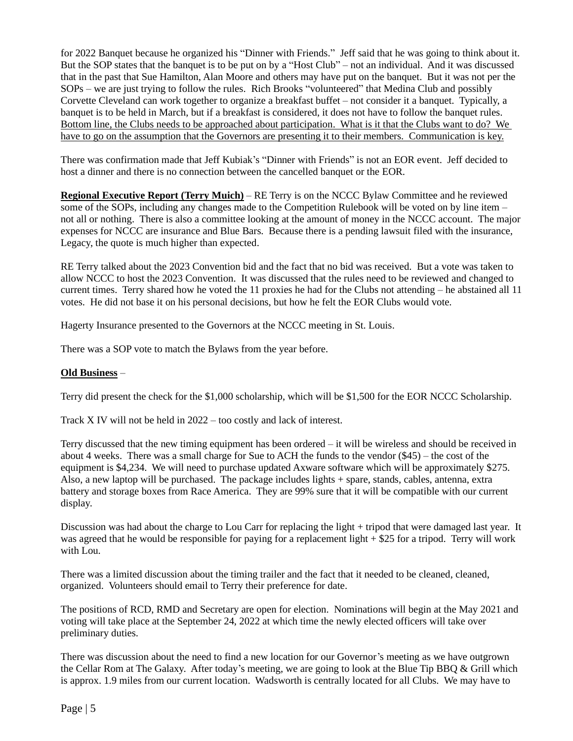for 2022 Banquet because he organized his "Dinner with Friends." Jeff said that he was going to think about it. But the SOP states that the banquet is to be put on by a "Host Club" – not an individual. And it was discussed that in the past that Sue Hamilton, Alan Moore and others may have put on the banquet. But it was not per the SOPs – we are just trying to follow the rules. Rich Brooks "volunteered" that Medina Club and possibly Corvette Cleveland can work together to organize a breakfast buffet – not consider it a banquet. Typically, a banquet is to be held in March, but if a breakfast is considered, it does not have to follow the banquet rules. Bottom line, the Clubs needs to be approached about participation. What is it that the Clubs want to do? We have to go on the assumption that the Governors are presenting it to their members. Communication is key.

There was confirmation made that Jeff Kubiak's "Dinner with Friends" is not an EOR event. Jeff decided to host a dinner and there is no connection between the cancelled banquet or the EOR.

**Regional Executive Report (Terry Muich)** – RE Terry is on the NCCC Bylaw Committee and he reviewed some of the SOPs, including any changes made to the Competition Rulebook will be voted on by line item – not all or nothing. There is also a committee looking at the amount of money in the NCCC account. The major expenses for NCCC are insurance and Blue Bars. Because there is a pending lawsuit filed with the insurance, Legacy, the quote is much higher than expected.

RE Terry talked about the 2023 Convention bid and the fact that no bid was received. But a vote was taken to allow NCCC to host the 2023 Convention. It was discussed that the rules need to be reviewed and changed to current times. Terry shared how he voted the 11 proxies he had for the Clubs not attending – he abstained all 11 votes. He did not base it on his personal decisions, but how he felt the EOR Clubs would vote.

Hagerty Insurance presented to the Governors at the NCCC meeting in St. Louis.

There was a SOP vote to match the Bylaws from the year before.

## **Old Business** –

Terry did present the check for the \$1,000 scholarship, which will be \$1,500 for the EOR NCCC Scholarship.

Track X IV will not be held in 2022 – too costly and lack of interest.

Terry discussed that the new timing equipment has been ordered – it will be wireless and should be received in about 4 weeks. There was a small charge for Sue to ACH the funds to the vendor (\$45) – the cost of the equipment is \$4,234. We will need to purchase updated Axware software which will be approximately \$275. Also, a new laptop will be purchased. The package includes lights + spare, stands, cables, antenna, extra battery and storage boxes from Race America. They are 99% sure that it will be compatible with our current display.

Discussion was had about the charge to Lou Carr for replacing the light + tripod that were damaged last year. It was agreed that he would be responsible for paying for a replacement light + \$25 for a tripod. Terry will work with Lou.

There was a limited discussion about the timing trailer and the fact that it needed to be cleaned, cleaned, organized. Volunteers should email to Terry their preference for date.

The positions of RCD, RMD and Secretary are open for election. Nominations will begin at the May 2021 and voting will take place at the September 24, 2022 at which time the newly elected officers will take over preliminary duties.

There was discussion about the need to find a new location for our Governor's meeting as we have outgrown the Cellar Rom at The Galaxy. After today's meeting, we are going to look at the Blue Tip BBQ & Grill which is approx. 1.9 miles from our current location. Wadsworth is centrally located for all Clubs. We may have to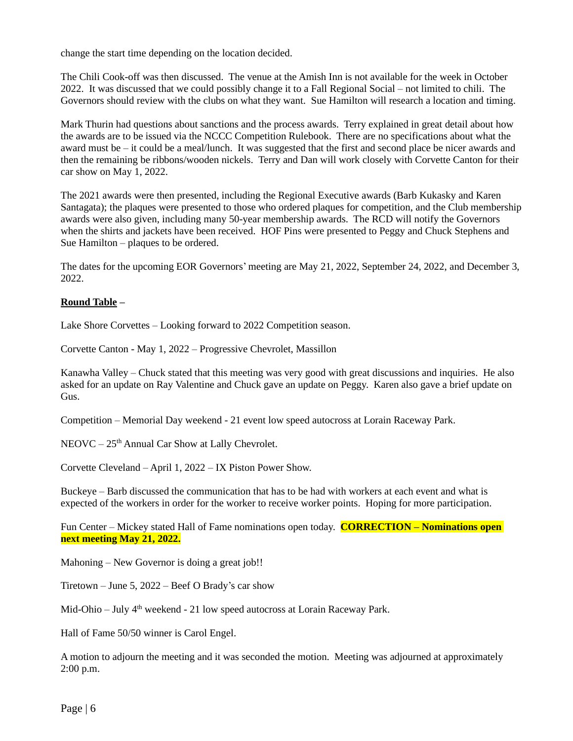change the start time depending on the location decided.

The Chili Cook-off was then discussed. The venue at the Amish Inn is not available for the week in October 2022. It was discussed that we could possibly change it to a Fall Regional Social – not limited to chili. The Governors should review with the clubs on what they want. Sue Hamilton will research a location and timing.

Mark Thurin had questions about sanctions and the process awards. Terry explained in great detail about how the awards are to be issued via the NCCC Competition Rulebook. There are no specifications about what the award must be – it could be a meal/lunch. It was suggested that the first and second place be nicer awards and then the remaining be ribbons/wooden nickels. Terry and Dan will work closely with Corvette Canton for their car show on May 1, 2022.

The 2021 awards were then presented, including the Regional Executive awards (Barb Kukasky and Karen Santagata); the plaques were presented to those who ordered plaques for competition, and the Club membership awards were also given, including many 50-year membership awards. The RCD will notify the Governors when the shirts and jackets have been received. HOF Pins were presented to Peggy and Chuck Stephens and Sue Hamilton – plaques to be ordered.

The dates for the upcoming EOR Governors' meeting are May 21, 2022, September 24, 2022, and December 3, 2022.

#### **Round Table –**

Lake Shore Corvettes – Looking forward to 2022 Competition season.

Corvette Canton - May 1, 2022 – Progressive Chevrolet, Massillon

Kanawha Valley – Chuck stated that this meeting was very good with great discussions and inquiries. He also asked for an update on Ray Valentine and Chuck gave an update on Peggy. Karen also gave a brief update on Gus.

Competition – Memorial Day weekend - 21 event low speed autocross at Lorain Raceway Park.

 $NEOVC - 25<sup>th</sup>$  Annual Car Show at Lally Chevrolet.

Corvette Cleveland – April 1, 2022 – IX Piston Power Show.

Buckeye – Barb discussed the communication that has to be had with workers at each event and what is expected of the workers in order for the worker to receive worker points. Hoping for more participation.

Fun Center – Mickey stated Hall of Fame nominations open today. **CORRECTION – Nominations open next meeting May 21, 2022.**

Mahoning – New Governor is doing a great job!!

Tiretown – June 5, 2022 – Beef O Brady's car show

Mid-Ohio – July  $4<sup>th</sup>$  weekend - 21 low speed autocross at Lorain Raceway Park.

Hall of Fame 50/50 winner is Carol Engel.

A motion to adjourn the meeting and it was seconded the motion. Meeting was adjourned at approximately 2:00 p.m.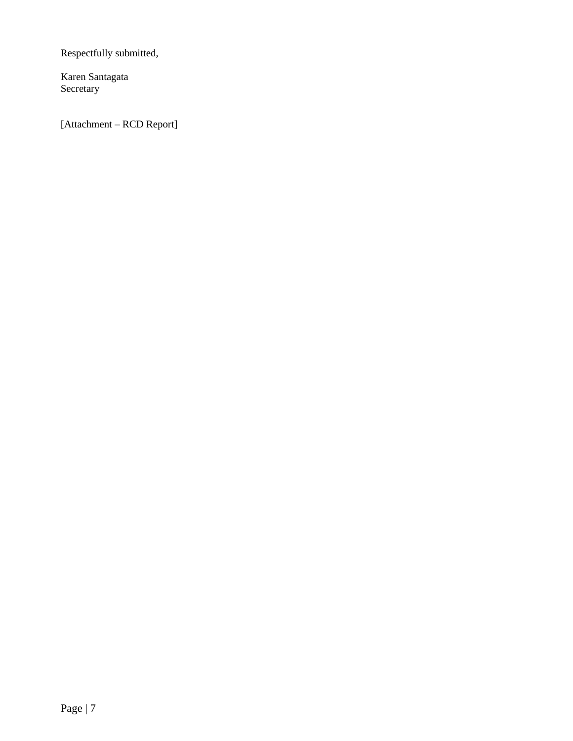Respectfully submitted,

Karen Santagata Secretary

[Attachment – RCD Report]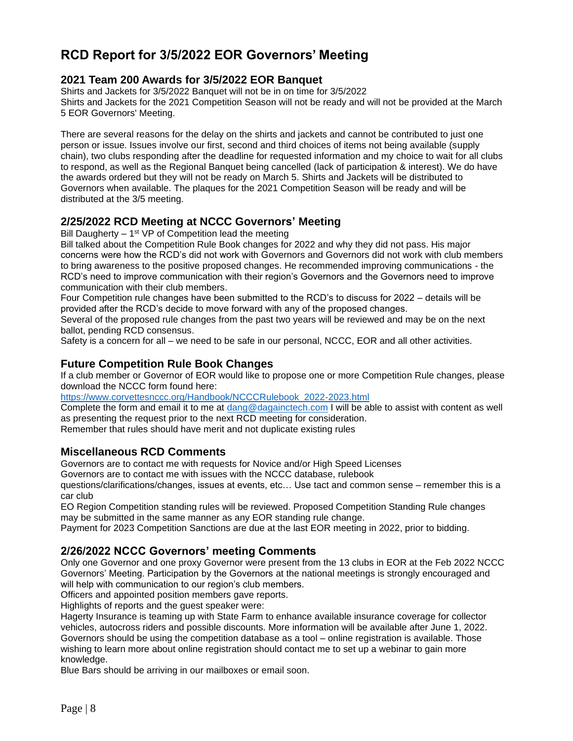# **RCD Report for 3/5/2022 EOR Governors' Meeting**

## **2021 Team 200 Awards for 3/5/2022 EOR Banquet**

Shirts and Jackets for 3/5/2022 Banquet will not be in on time for 3/5/2022 Shirts and Jackets for the 2021 Competition Season will not be ready and will not be provided at the March 5 EOR Governors' Meeting.

There are several reasons for the delay on the shirts and jackets and cannot be contributed to just one person or issue. Issues involve our first, second and third choices of items not being available (supply chain), two clubs responding after the deadline for requested information and my choice to wait for all clubs to respond, as well as the Regional Banquet being cancelled (lack of participation & interest). We do have the awards ordered but they will not be ready on March 5. Shirts and Jackets will be distributed to Governors when available. The plaques for the 2021 Competition Season will be ready and will be distributed at the 3/5 meeting.

# **2/25/2022 RCD Meeting at NCCC Governors' Meeting**

Bill Daugherty  $-1$ <sup>st</sup> VP of Competition lead the meeting

Bill talked about the Competition Rule Book changes for 2022 and why they did not pass. His major concerns were how the RCD's did not work with Governors and Governors did not work with club members to bring awareness to the positive proposed changes. He recommended improving communications - the RCD's need to improve communication with their region's Governors and the Governors need to improve communication with their club members.

Four Competition rule changes have been submitted to the RCD's to discuss for 2022 – details will be provided after the RCD's decide to move forward with any of the proposed changes.

Several of the proposed rule changes from the past two years will be reviewed and may be on the next ballot, pending RCD consensus.

Safety is a concern for all – we need to be safe in our personal, NCCC, EOR and all other activities.

# **Future Competition Rule Book Changes**

If a club member or Governor of EOR would like to propose one or more Competition Rule changes, please download the NCCC form found here:

[https://www.corvettesnccc.org/Handbook/NCCCRulebook\\_2022-2023.html](https://www.corvettesnccc.org/Handbook/NCCCRulebook_2022-2023.html)

Complete the form and email it to me at [dang@dagainctech.com](mailto:dang@dagainctech.com) I will be able to assist with content as well as presenting the request prior to the next RCD meeting for consideration.

Remember that rules should have merit and not duplicate existing rules

# **Miscellaneous RCD Comments**

Governors are to contact me with requests for Novice and/or High Speed Licenses

Governors are to contact me with issues with the NCCC database, rulebook

questions/clarifications/changes, issues at events, etc… Use tact and common sense – remember this is a car club

EO Region Competition standing rules will be reviewed. Proposed Competition Standing Rule changes may be submitted in the same manner as any EOR standing rule change.

Payment for 2023 Competition Sanctions are due at the last EOR meeting in 2022, prior to bidding.

# **2/26/2022 NCCC Governors' meeting Comments**

Only one Governor and one proxy Governor were present from the 13 clubs in EOR at the Feb 2022 NCCC Governors' Meeting. Participation by the Governors at the national meetings is strongly encouraged and will help with communication to our region's club members.

Officers and appointed position members gave reports.

Highlights of reports and the guest speaker were:

Hagerty Insurance is teaming up with State Farm to enhance available insurance coverage for collector vehicles, autocross riders and possible discounts. More information will be available after June 1, 2022. Governors should be using the competition database as a tool – online registration is available. Those wishing to learn more about online registration should contact me to set up a webinar to gain more knowledge.

Blue Bars should be arriving in our mailboxes or email soon.